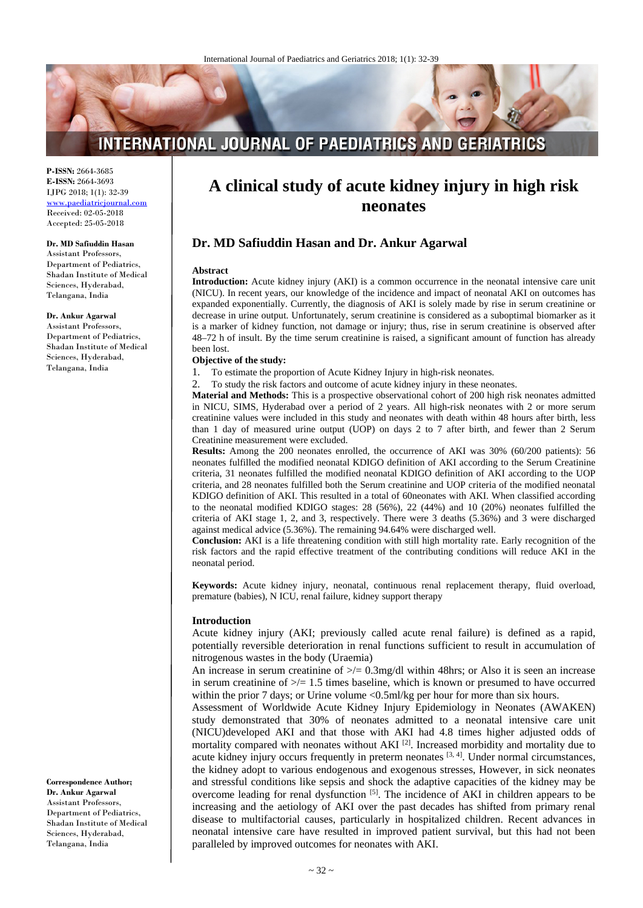# **INTERNATIONAL JOURNAL OF PAEDIATRICS AND GERIATRICS**

**P-ISSN:** 2664-3685 **E-ISSN:** 2664-3693 IJPG 2018; 1(1): 32-39 www.paediatricjournal.com Received: 02-05-2018 Accepted: 25-05-2018

**Dr. MD Safiuddin Hasan** Assistant Professors,

Department of Pediatrics, Shadan Institute of Medical Sciences, Hyderabad, Telangana, India

#### **Dr. Ankur Agarwal**

Assistant Professors, Department of Pediatrics, Shadan Institute of Medical Sciences, Hyderabad, Telangana, India

**Correspondence Author; Dr. Ankur Agarwal** Assistant Professors, Department of Pediatrics, Shadan Institute of Medical Sciences, Hyderabad, Telangana, India

# **A clinical study of acute kidney injury in high risk neonates**

# **Dr. MD Safiuddin Hasan and Dr. Ankur Agarwal**

#### **Abstract**

**Introduction:** Acute kidney injury (AKI) is a common occurrence in the neonatal intensive care unit (NICU). In recent years, our knowledge of the incidence and impact of neonatal AKI on outcomes has expanded exponentially. Currently, the diagnosis of AKI is solely made by rise in serum creatinine or decrease in urine output. Unfortunately, serum creatinine is considered as a suboptimal biomarker as it is a marker of kidney function, not damage or injury; thus, rise in serum creatinine is observed after 48–72 h of insult. By the time serum creatinine is raised, a significant amount of function has already been lost.

#### **Objective of the study:**

1. To estimate the proportion of Acute Kidney Injury in high-risk neonates.

2. To study the risk factors and outcome of acute kidney injury in these neonates.

**Material and Methods:** This is a prospective observational cohort of 200 high risk neonates admitted in NICU, SIMS, Hyderabad over a period of 2 years. All high-risk neonates with 2 or more serum creatinine values were included in this study and neonates with death within 48 hours after birth, less than 1 day of measured urine output (UOP) on days 2 to 7 after birth, and fewer than 2 Serum Creatinine measurement were excluded.

**Results:** Among the 200 neonates enrolled, the occurrence of AKI was 30% (60/200 patients): 56 neonates fulfilled the modified neonatal KDIGO definition of AKI according to the Serum Creatinine criteria, 31 neonates fulfilled the modified neonatal KDIGO definition of AKI according to the UOP criteria, and 28 neonates fulfilled both the Serum creatinine and UOP criteria of the modified neonatal KDIGO definition of AKI. This resulted in a total of 60neonates with AKI. When classified according to the neonatal modified KDIGO stages: 28 (56%), 22 (44%) and 10 (20%) neonates fulfilled the criteria of AKI stage 1, 2, and 3, respectively. There were 3 deaths (5.36%) and 3 were discharged against medical advice (5.36%). The remaining 94.64% were discharged well.

**Conclusion:** AKI is a life threatening condition with still high mortality rate. Early recognition of the risk factors and the rapid effective treatment of the contributing conditions will reduce AKI in the neonatal period.

**Keywords:** Acute kidney injury, neonatal, continuous renal replacement therapy, fluid overload, premature (babies), N ICU, renal failure, kidney support therapy

#### **Introduction**

Acute kidney injury (AKI; previously called acute renal failure) is defined as a rapid, potentially reversible deterioration in renal functions sufficient to result in accumulation of nitrogenous wastes in the body (Uraemia)

An increase in serum creatinine of  $\geq$  0.3mg/dl within 48hrs; or Also it is seen an increase in serum creatinine of  $\geq$  1.5 times baseline, which is known or presumed to have occurred within the prior 7 days; or Urine volume <0.5ml/kg per hour for more than six hours.

Assessment of Worldwide Acute Kidney Injury Epidemiology in Neonates (AWAKEN) study demonstrated that 30% of neonates admitted to a neonatal intensive care unit (NICU)developed AKI and that those with AKI had 4.8 times higher adjusted odds of mortality compared with neonates without  $AKI$ <sup>[2]</sup>. Increased morbidity and mortality due to acute kidney injury occurs frequently in preterm neonates [3, 4]. Under normal circumstances, the kidney adopt to various endogenous and exogenous stresses, However, in sick neonates and stressful conditions like sepsis and shock the adaptive capacities of the kidney may be overcome leading for renal dysfunction [5]. The incidence of AKI in children appears to be increasing and the aetiology of AKI over the past decades has shifted from primary renal disease to multifactorial causes, particularly in hospitalized children. Recent advances in neonatal intensive care have resulted in improved patient survival, but this had not been paralleled by improved outcomes for neonates with AKI.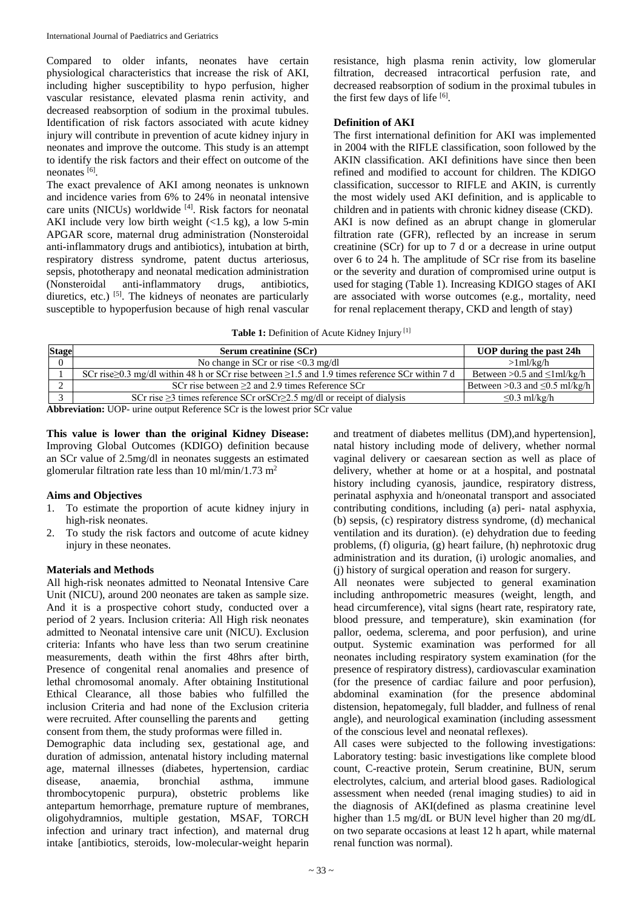Compared to older infants, neonates have certain physiological characteristics that increase the risk of AKI, including higher susceptibility to hypo perfusion, higher vascular resistance, elevated plasma renin activity, and decreased reabsorption of sodium in the proximal tubules. Identification of risk factors associated with acute kidney injury will contribute in prevention of acute kidney injury in neonates and improve the outcome. This study is an attempt to identify the risk factors and their effect on outcome of the neonates [6].

The exact prevalence of AKI among neonates is unknown and incidence varies from 6% to 24% in neonatal intensive care units (NICUs) worldwide [4]. Risk factors for neonatal AKI include very low birth weight  $(<1.5 \text{ kg})$ , a low 5-min APGAR score, maternal drug administration (Nonsteroidal anti-inflammatory drugs and antibiotics), intubation at birth, respiratory distress syndrome, patent ductus arteriosus, sepsis, phototherapy and neonatal medication administration (Nonsteroidal anti-inflammatory drugs, antibiotics, diuretics, etc.) <sup>[5]</sup>. The kidneys of neonates are particularly susceptible to hypoperfusion because of high renal vascular

resistance, high plasma renin activity, low glomerular filtration, decreased intracortical perfusion rate, and decreased reabsorption of sodium in the proximal tubules in the first few days of life [6].

## **Definition of AKI**

The first international definition for AKI was implemented in 2004 with the RIFLE classification, soon followed by the AKIN classification. AKI definitions have since then been refined and modified to account for children. The KDIGO classification, successor to RIFLE and AKIN, is currently the most widely used AKI definition, and is applicable to children and in patients with chronic kidney disease (CKD). AKI is now defined as an abrupt change in glomerular filtration rate (GFR), reflected by an increase in serum creatinine (SCr) for up to 7 d or a decrease in urine output over 6 to 24 h. The amplitude of SCr rise from its baseline or the severity and duration of compromised urine output is used for staging (Table 1). Increasing KDIGO stages of AKI are associated with worse outcomes (e.g., mortality, need for renal replacement therapy, CKD and length of stay)

|  | Table 1: Definition of Acute Kidney Injury <sup>[1]</sup> |  |  |  |
|--|-----------------------------------------------------------|--|--|--|
|--|-----------------------------------------------------------|--|--|--|

| <b>Stage</b>   | <b>Serum creatinine (SCr)</b>                                                                               | UOP during the past 24h              |  |  |  |  |
|----------------|-------------------------------------------------------------------------------------------------------------|--------------------------------------|--|--|--|--|
| $\overline{0}$ | No change in SCr or rise $< 0.3$ mg/dl                                                                      | $>1$ ml/kg/h                         |  |  |  |  |
|                | SCr rise $\geq$ 0.3 mg/dl within 48 h or SCr rise between $\geq$ 1.5 and 1.9 times reference SCr within 7 d | Between > 0.5 and $\leq$ 1 ml/kg/h   |  |  |  |  |
|                | SCr rise between $\geq$ 2 and 2.9 times Reference SCr                                                       | Between > 0.3 and $\leq$ 0.5 ml/kg/h |  |  |  |  |
|                | SCr rise $\geq$ 3 times reference SCr or SCr $\geq$ 2.5 mg/dl or receipt of dialysis                        | $\leq 0.3$ ml/kg/h                   |  |  |  |  |
|                | <b>Abbreviation:</b> UOP- urine output Reference SCr is the lowest prior SCr value                          |                                      |  |  |  |  |

**This value is lower than the original Kidney Disease:** Improving Global Outcomes (KDIGO) definition because an SCr value of 2.5mg/dl in neonates suggests an estimated glomerular filtration rate less than 10 ml/min/1.73 m<sup>2</sup>

# **Aims and Objectives**

- 1. To estimate the proportion of acute kidney injury in high-risk neonates.
- 2. To study the risk factors and outcome of acute kidney injury in these neonates.

## **Materials and Methods**

All high-risk neonates admitted to Neonatal Intensive Care Unit (NICU), around 200 neonates are taken as sample size. And it is a prospective cohort study, conducted over a period of 2 years. Inclusion criteria: All High risk neonates admitted to Neonatal intensive care unit (NICU). Exclusion criteria: Infants who have less than two serum creatinine measurements, death within the first 48hrs after birth, Presence of congenital renal anomalies and presence of lethal chromosomal anomaly. After obtaining Institutional Ethical Clearance, all those babies who fulfilled the inclusion Criteria and had none of the Exclusion criteria were recruited. After counselling the parents and getting consent from them, the study proformas were filled in.

Demographic data including sex, gestational age, and duration of admission, antenatal history including maternal age, maternal illnesses (diabetes, hypertension, cardiac disease, anaemia, bronchial asthma, immune thrombocytopenic purpura), obstetric problems like antepartum hemorrhage, premature rupture of membranes, oligohydramnios, multiple gestation, MSAF, TORCH infection and urinary tract infection), and maternal drug intake [antibiotics, steroids, low-molecular-weight heparin

and treatment of diabetes mellitus (DM),and hypertension], natal history including mode of delivery, whether normal vaginal delivery or caesarean section as well as place of delivery, whether at home or at a hospital, and postnatal history including cyanosis, jaundice, respiratory distress, perinatal asphyxia and h/oneonatal transport and associated contributing conditions, including (a) peri- natal asphyxia, (b) sepsis, (c) respiratory distress syndrome, (d) mechanical ventilation and its duration). (e) dehydration due to feeding problems, (f) oliguria, (g) heart failure, (h) nephrotoxic drug administration and its duration, (i) urologic anomalies, and (j) history of surgical operation and reason for surgery.

All neonates were subjected to general examination including anthropometric measures (weight, length, and head circumference), vital signs (heart rate, respiratory rate, blood pressure, and temperature), skin examination (for pallor, oedema, sclerema, and poor perfusion), and urine output. Systemic examination was performed for all neonates including respiratory system examination (for the presence of respiratory distress), cardiovascular examination (for the presence of cardiac failure and poor perfusion), abdominal examination (for the presence abdominal distension, hepatomegaly, full bladder, and fullness of renal angle), and neurological examination (including assessment of the conscious level and neonatal reflexes).

All cases were subjected to the following investigations: Laboratory testing: basic investigations like complete blood count, C-reactive protein, Serum creatinine, BUN, serum electrolytes, calcium, and arterial blood gases. Radiological assessment when needed (renal imaging studies) to aid in the diagnosis of AKI(defined as plasma creatinine level higher than 1.5 mg/dL or BUN level higher than 20 mg/dL on two separate occasions at least 12 h apart, while maternal renal function was normal).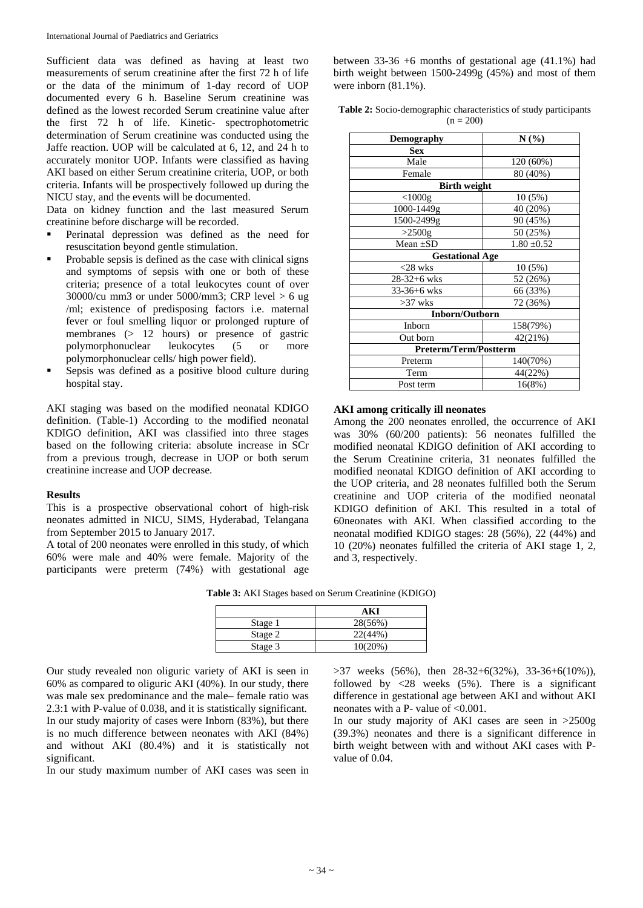Sufficient data was defined as having at least two measurements of serum creatinine after the first 72 h of life or the data of the minimum of 1-day record of UOP documented every 6 h. Baseline Serum creatinine was defined as the lowest recorded Serum creatinine value after the first 72 h of life. Kinetic- spectrophotometric determination of Serum creatinine was conducted using the Jaffe reaction. UOP will be calculated at 6, 12, and 24 h to accurately monitor UOP. Infants were classified as having AKI based on either Serum creatinine criteria, UOP, or both criteria. Infants will be prospectively followed up during the NICU stay, and the events will be documented.

Data on kidney function and the last measured Serum creatinine before discharge will be recorded.

- Perinatal depression was defined as the need for resuscitation beyond gentle stimulation.
- $\blacksquare$  Probable sepsis is defined as the case with clinical signs and symptoms of sepsis with one or both of these criteria; presence of a total leukocytes count of over  $30000/cu$  mm3 or under  $5000/mm3$ ; CRP level  $> 6$  ug /ml; existence of predisposing factors i.e. maternal fever or foul smelling liquor or prolonged rupture of membranes (> 12 hours) or presence of gastric polymorphonuclear leukocytes (5 or more polymorphonuclear cells/ high power field).
- Sepsis was defined as a positive blood culture during hospital stay.

AKI staging was based on the modified neonatal KDIGO definition. (Table-1) According to the modified neonatal KDIGO definition, AKI was classified into three stages based on the following criteria: absolute increase in SCr from a previous trough, decrease in UOP or both serum creatinine increase and UOP decrease.

#### **Results**

This is a prospective observational cohort of high-risk neonates admitted in NICU, SIMS, Hyderabad, Telangana from September 2015 to January 2017.

A total of 200 neonates were enrolled in this study, of which 60% were male and 40% were female. Majority of the participants were preterm (74%) with gestational age

between 33-36 +6 months of gestational age (41.1%) had birth weight between 1500-2499g (45%) and most of them were inborn  $(81.1\%)$ .

**Table 2:** Socio-demographic characteristics of study participants  $(n = 200)$ 

| <b>Demography</b>            | N(%)            |
|------------------------------|-----------------|
| <b>Sex</b>                   |                 |
| Male                         | 120 (60%)       |
| Female                       | 80 (40%)        |
| <b>Birth weight</b>          |                 |
| $<$ 1000g                    | 10(5%)          |
| 1000-1449g                   | 40 (20%)        |
| 1500-2499g                   | 90 (45%)        |
| $>2500$ g                    | 50 (25%)        |
| Mean $\pm SD$                | $1.80 \pm 0.52$ |
| <b>Gestational Age</b>       |                 |
| $<$ 28 wks                   | 10(5%)          |
| $28-32+6$ wks                | 52 (26%)        |
| 33-36+6 wks                  | 66 (33%)        |
| $>37$ wks                    | 72 (36%)        |
| <b>Inborn/Outborn</b>        |                 |
| Inborn                       | 158(79%)        |
| Out born                     | 42(21%)         |
| <b>Preterm/Term/Postterm</b> |                 |
| Preterm                      | 140(70%)        |
| Term                         | 44(22%)         |
| Post term                    | 16(8%)          |

#### **AKI among critically ill neonates**

Among the 200 neonates enrolled, the occurrence of AKI was 30% (60/200 patients): 56 neonates fulfilled the modified neonatal KDIGO definition of AKI according to the Serum Creatinine criteria, 31 neonates fulfilled the modified neonatal KDIGO definition of AKI according to the UOP criteria, and 28 neonates fulfilled both the Serum creatinine and UOP criteria of the modified neonatal KDIGO definition of AKI. This resulted in a total of 60neonates with AKI. When classified according to the neonatal modified KDIGO stages: 28 (56%), 22 (44%) and 10 (20%) neonates fulfilled the criteria of AKI stage 1, 2, and 3, respectively.

| Table 3: AKI Stages based on Serum Creatinine (KDIGO) |  |  |  |  |  |  |
|-------------------------------------------------------|--|--|--|--|--|--|
|-------------------------------------------------------|--|--|--|--|--|--|

|         | A K     |
|---------|---------|
| Stage 1 | 28(56%) |
| Stage 2 | 22(44%  |
| Stage 3 | 10(20%) |

Our study revealed non oliguric variety of AKI is seen in 60% as compared to oliguric AKI (40%). In our study, there was male sex predominance and the male– female ratio was 2.3:1 with P-value of 0.038, and it is statistically significant. In our study majority of cases were Inborn (83%), but there is no much difference between neonates with AKI (84%) and without AKI (80.4%) and it is statistically not significant.

In our study maximum number of AKI cases was seen in

 $>37$  weeks (56%), then  $28-32+6(32\%)$ ,  $33-36+6(10\%)$ ), followed by  $\langle 28 \rangle$  weeks (5%). There is a significant difference in gestational age between AKI and without AKI neonates with a P- value of <0.001.

In our study majority of AKI cases are seen in >2500g (39.3%) neonates and there is a significant difference in birth weight between with and without AKI cases with Pvalue of 0.04.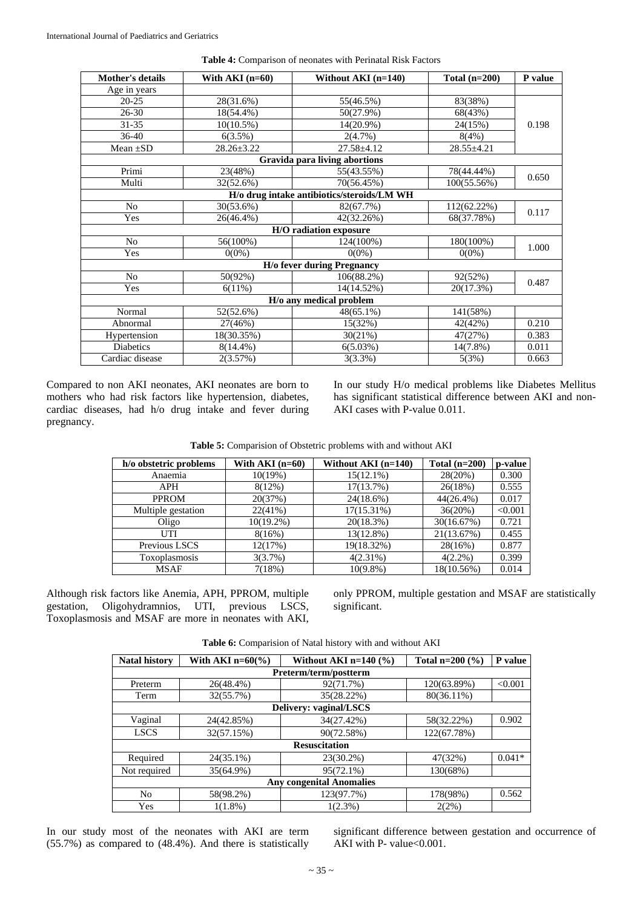| <b>Mother's details</b> | With $AKI$ (n=60) | Without AKI $(n=140)$                      | Total $(n=200)$ | P value |  |  |
|-------------------------|-------------------|--------------------------------------------|-----------------|---------|--|--|
| Age in years            |                   |                                            |                 |         |  |  |
| $20 - 25$               | 28(31.6%)         | 55(46.5%)                                  | 83(38%)         |         |  |  |
| $26 - 30$               | 18(54.4%)         | $50(27.9\%)$                               | 68(43%)         |         |  |  |
| $31 - 35$               | $10(10.5\%)$      | $14(20.9\%)$                               | 24(15%)         | 0.198   |  |  |
| $36-40$                 | 6(3.5%)           | $2(4.7\%)$                                 | 8(4%)           |         |  |  |
| Mean $\pm SD$           | $28.26 \pm 3.22$  | $27.58 \pm 4.12$                           | 28.55±4.21      |         |  |  |
|                         |                   | Gravida para living abortions              |                 |         |  |  |
| Primi                   | 23(48%)           | 55(43.55%)                                 | 78(44.44%)      | 0.650   |  |  |
| Multi                   | 32(52.6%)         | 70(56.45%)                                 | 100(55.56%)     |         |  |  |
|                         |                   | H/o drug intake antibiotics/steroids/LM WH |                 |         |  |  |
| No                      | 30(53.6%)         | 82(67.7%)                                  | 112(62.22%)     | 0.117   |  |  |
| Yes                     | 26(46.4%)         | 42(32.26%)                                 | 68(37.78%)      |         |  |  |
|                         |                   | H/O radiation exposure                     |                 |         |  |  |
| No                      | 56(100%)          | 124(100%)                                  | 180(100%)       | 1.000   |  |  |
| Yes                     | $0(0\%)$          | $0(0\%)$                                   | $0(0\%)$        |         |  |  |
|                         |                   | <b>H/o fever during Pregnancy</b>          |                 |         |  |  |
| N <sub>o</sub>          | 50(92%)           | 106(88.2%)                                 | 92(52%)         | 0.487   |  |  |
| Yes                     | 6(11%)            | 14(14.52%)                                 | 20(17.3%)       |         |  |  |
| H/o any medical problem |                   |                                            |                 |         |  |  |
| Normal                  | 52(52.6%)         | $48(65.1\%)$                               | 141(58%)        |         |  |  |
| Abnormal                | 27(46%)           | 15(32%)                                    | 42(42%)         | 0.210   |  |  |
| Hypertension            | 18(30.35%)        | 30(21%)                                    | 47(27%)         | 0.383   |  |  |
| <b>Diabetics</b>        | $8(14.4\%)$       | 6(5.03%)                                   | $14(7.8\%)$     | 0.011   |  |  |
| Cardiac disease         | 2(3.57%)          | $3(3.3\%)$                                 | 5(3%)           | 0.663   |  |  |

**Table 4:** Comparison of neonates with Perinatal Risk Factors

Compared to non AKI neonates, AKI neonates are born to mothers who had risk factors like hypertension, diabetes, cardiac diseases, had h/o drug intake and fever during pregnancy.

In our study H/o medical problems like Diabetes Mellitus has significant statistical difference between AKI and non-AKI cases with P-value 0.011.

| h/o obstetric problems | With $AKI(n=60)$ | Without AKI $(n=140)$ | Total $(n=200)$ | p-value |
|------------------------|------------------|-----------------------|-----------------|---------|
| Anaemia                | $10(19\%)$       | $15(12.1\%)$          | 28(20%)         | 0.300   |
| <b>APH</b>             | 8(12%)           | 17(13.7%)             | 26(18%)         | 0.555   |
| <b>PPROM</b>           | 20(37%)          | 24(18.6%)             | $44(26.4\%)$    | 0.017   |
| Multiple gestation     | 22(41%)          | 17(15.31%)            | 36(20%)         | < 0.001 |
| Oligo                  | $10(19.2\%)$     | 20(18.3%)             | 30(16.67%)      | 0.721   |
| UTI                    | 8(16%)           | 13(12.8%)             | 21(13.67%)      | 0.455   |
| Previous LSCS          | 12(17%)          | 19(18.32%)            | 28(16%)         | 0.877   |
| Toxoplasmosis          | 3(3.7%)          | $4(2.31\%)$           | $4(2.2\%)$      | 0.399   |
| MSAF                   | 7(18%)           | $10(9.8\%)$           | 18(10.56%)      | 0.014   |

Although risk factors like Anemia, APH, PPROM, multiple gestation, Oligohydramnios, UTI, previous LSCS, Toxoplasmosis and MSAF are more in neonates with AKI, only PPROM, multiple gestation and MSAF are statistically significant.

|  | <b>Table 6:</b> Comparision of Natal history with and without AKI |  |
|--|-------------------------------------------------------------------|--|
|  |                                                                   |  |

| <b>Natal history</b>            | With AKI $n=60\degree$ | Without AKI $n=140$ (%) | Total $n=200$ (%) | P value  |  |  |  |
|---------------------------------|------------------------|-------------------------|-------------------|----------|--|--|--|
|                                 | Preterm/term/postterm  |                         |                   |          |  |  |  |
| Preterm                         | 26(48.4%)              | 92(71.7%)               | 120(63.89%)       | < 0.001  |  |  |  |
| Term                            | 32(55.7%)              | 35(28.22%)              | 80(36.11%)        |          |  |  |  |
|                                 |                        | Delivery: vaginal/LSCS  |                   |          |  |  |  |
| Vaginal                         | 24(42.85%)             | 34(27.42%)              | 58(32.22%)        | 0.902    |  |  |  |
| <b>LSCS</b>                     | 32(57.15%)             | 90(72.58%)              | 122(67.78%)       |          |  |  |  |
| <b>Resuscitation</b>            |                        |                         |                   |          |  |  |  |
| Required                        | $24(35.1\%)$           | 23(30.2%)               | 47(32%)           | $0.041*$ |  |  |  |
| Not required                    | 35(64.9%)              | 95(72.1%)               | 130(68%)          |          |  |  |  |
| <b>Any congenital Anomalies</b> |                        |                         |                   |          |  |  |  |
| No                              | 58(98.2%)              | 123(97.7%)              | 178(98%)          | 0.562    |  |  |  |
| Yes                             | $1(1.8\%)$             | $1(2.3\%)$              | 2(2%)             |          |  |  |  |

In our study most of the neonates with AKI are term (55.7%) as compared to (48.4%). And there is statistically

significant difference between gestation and occurrence of AKI with P- value<0.001.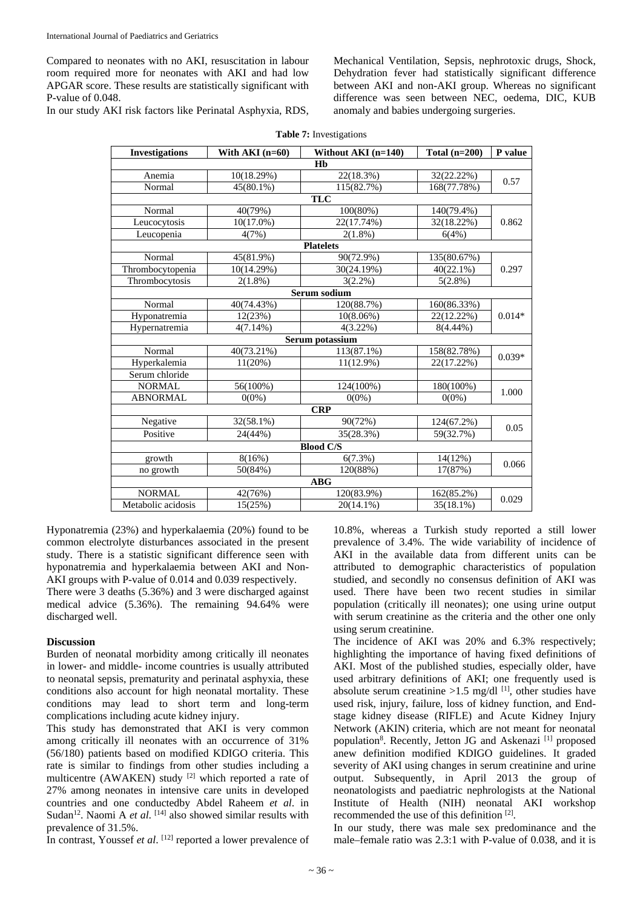Compared to neonates with no AKI, resuscitation in labour room required more for neonates with AKI and had low APGAR score. These results are statistically significant with P-value of 0.048.

In our study AKI risk factors like Perinatal Asphyxia, RDS,

Mechanical Ventilation, Sepsis, nephrotoxic drugs, Shock, Dehydration fever had statistically significant difference between AKI and non-AKI group. Whereas no significant difference was seen between NEC, oedema, DIC, KUB anomaly and babies undergoing surgeries.

| <b>Investigations</b> | With AKI $(n=60)$ | Without AKI (n=140) | Total $(n=200)$ | P value  |  |  |
|-----------------------|-------------------|---------------------|-----------------|----------|--|--|
| Hb                    |                   |                     |                 |          |  |  |
| Anemia                | 10(18.29%)        | 22(18.3%)           | 32(22.22%)      | 0.57     |  |  |
| Normal                | $45(80.1\%)$      | 115(82.7%)          | 168(77.78%)     |          |  |  |
|                       |                   | <b>TLC</b>          |                 |          |  |  |
| Normal                | 40(79%)           | 100(80%)            | 140(79.4%)      |          |  |  |
| Leucocytosis          | $10(17.0\%)$      | 22(17.74%)          | 32(18.22%)      | 0.862    |  |  |
| Leucopenia            | 4(7%)             | $2(1.8\%)$          | 6(4%)           |          |  |  |
|                       |                   | <b>Platelets</b>    |                 |          |  |  |
| Normal                | 45(81.9%)         | 90(72.9%)           | 135(80.67%)     |          |  |  |
| Thrombocytopenia      | 10(14.29%)        | 30(24.19%)          | $40(22.1\%)$    | 0.297    |  |  |
| Thrombocytosis        | $2(1.8\%)$        | $3(2.2\%)$          | $5(2.8\%)$      |          |  |  |
|                       |                   | Serum sodium        |                 |          |  |  |
| Normal                | 40(74.43%)        | 120(88.7%)          | 160(86.33%)     | $0.014*$ |  |  |
| Hyponatremia          | 12(23%)           | $10(8.06\%)$        | 22(12.22%)      |          |  |  |
| Hypernatremia         | $4(7.14\%)$       | $4(3.22\%)$         | $8(4.44\%)$     |          |  |  |
|                       |                   | Serum potassium     |                 |          |  |  |
| Normal                | 40(73.21%)        | 113(87.1%)          | 158(82.78%)     | $0.039*$ |  |  |
| Hyperkalemia          | 11(20%)           | $11(12.9\%)$        | 22(17.22%)      |          |  |  |
| Serum chloride        |                   |                     |                 |          |  |  |
| <b>NORMAL</b>         | 56(100%)          | 124(100%)           | 180(100%)       | 1.000    |  |  |
| <b>ABNORMAL</b>       | $0(0\%)$          | $0(0\%)$            | $0(0\%)$        |          |  |  |
|                       |                   | <b>CRP</b>          |                 |          |  |  |
| Negative              | 32(58.1%)         | 90(72%)             | 124(67.2%)      | 0.05     |  |  |
| Positive              | 24(44%)           | 35(28.3%)           | 59(32.7%)       |          |  |  |
|                       |                   | <b>Blood C/S</b>    |                 |          |  |  |
| growth                | 8(16%)            | 6(7.3%)             | 14(12%)         |          |  |  |
| no growth             | 50(84%)           | 120(88%)            | 17(87%)         | 0.066    |  |  |
|                       |                   | <b>ABG</b>          |                 |          |  |  |
| <b>NORMAL</b>         | 42(76%)           | 120(83.9%)          | 162(85.2%)      | 0.029    |  |  |
| Metabolic acidosis    | 15(25%)           | $20(14.1\%)$        | $35(18.1\%)$    |          |  |  |

**Table 7:** Investigations

Hyponatremia (23%) and hyperkalaemia (20%) found to be common electrolyte disturbances associated in the present study. There is a statistic significant difference seen with hyponatremia and hyperkalaemia between AKI and Non-AKI groups with P-value of 0.014 and 0.039 respectively.

There were 3 deaths (5.36%) and 3 were discharged against medical advice (5.36%). The remaining 94.64% were discharged well.

#### **Discussion**

Burden of neonatal morbidity among critically ill neonates in lower- and middle- income countries is usually attributed to neonatal sepsis, prematurity and perinatal asphyxia, these conditions also account for high neonatal mortality. These conditions may lead to short term and long-term complications including acute kidney injury.

This study has demonstrated that AKI is very common among critically ill neonates with an occurrence of 31% (56/180) patients based on modified KDIGO criteria. This rate is similar to findings from other studies including a multicentre (AWAKEN) study [2] which reported a rate of 27% among neonates in intensive care units in developed countries and one conductedby Abdel Raheem *et al*. in Sudan<sup>12</sup>. Naomi A *et al.* <sup>[14]</sup> also showed similar results with prevalence of 31.5%.

In contrast, Youssef *et al*. [12] reported a lower prevalence of

10.8%, whereas a Turkish study reported a still lower prevalence of 3.4%. The wide variability of incidence of AKI in the available data from different units can be attributed to demographic characteristics of population studied, and secondly no consensus definition of AKI was used. There have been two recent studies in similar population (critically ill neonates); one using urine output with serum creatinine as the criteria and the other one only using serum creatinine.

The incidence of AKI was 20% and 6.3% respectively; highlighting the importance of having fixed definitions of AKI. Most of the published studies, especially older, have used arbitrary definitions of AKI; one frequently used is absolute serum creatinine  $>1.5$  mg/dl<sup>[1]</sup>, other studies have used risk, injury, failure, loss of kidney function, and Endstage kidney disease (RIFLE) and Acute Kidney Injury Network (AKIN) criteria, which are not meant for neonatal population<sup>8</sup>. Recently, Jetton JG and Askenazi<sup>[1]</sup> proposed anew definition modified KDIGO guidelines. It graded severity of AKI using changes in serum creatinine and urine output. Subsequently, in April 2013 the group of neonatologists and paediatric nephrologists at the National Institute of Health (NIH) neonatal AKI workshop recommended the use of this definition [2].

In our study, there was male sex predominance and the male–female ratio was 2.3:1 with P-value of 0.038, and it is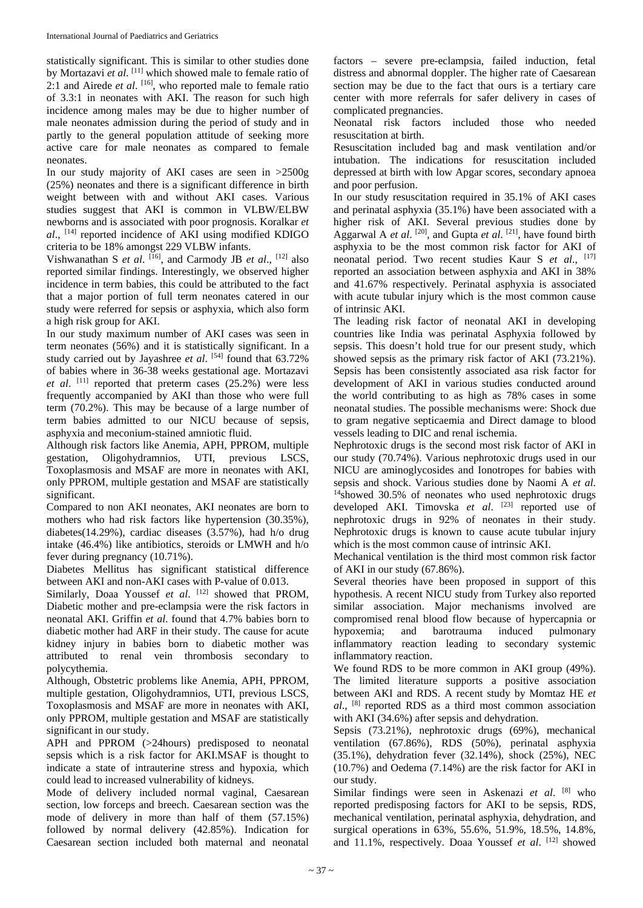statistically significant. This is similar to other studies done by Mortazavi *et al.* [11] which showed male to female ratio of 2:1 and Airede *et al*. [16] , who reported male to female ratio of 3.3:1 in neonates with AKI. The reason for such high incidence among males may be due to higher number of male neonates admission during the period of study and in partly to the general population attitude of seeking more active care for male neonates as compared to female neonates.

In our study majority of AKI cases are seen in >2500g (25%) neonates and there is a significant difference in birth weight between with and without AKI cases. Various studies suggest that AKI is common in VLBW/ELBW newborns and is associated with poor prognosis. Koralkar *et al*., [14] reported incidence of AKI using modified KDIGO criteria to be 18% amongst 229 VLBW infants.

Vishwanathan S *et al*. [16] , and Carmody JB *et al*., [12] also reported similar findings. Interestingly, we observed higher incidence in term babies, this could be attributed to the fact that a major portion of full term neonates catered in our study were referred for sepsis or asphyxia, which also form a high risk group for AKI.

In our study maximum number of AKI cases was seen in term neonates (56%) and it is statistically significant. In a study carried out by Jayashree *et al*. [54] found that 63.72% of babies where in 36-38 weeks gestational age. Mortazavi *et al*. [11] reported that preterm cases (25.2%) were less frequently accompanied by AKI than those who were full term (70.2%). This may be because of a large number of term babies admitted to our NICU because of sepsis, asphyxia and meconium-stained amniotic fluid.

Although risk factors like Anemia, APH, PPROM, multiple gestation, Oligohydramnios, UTI, previous LSCS, Toxoplasmosis and MSAF are more in neonates with AKI, only PPROM, multiple gestation and MSAF are statistically significant.

Compared to non AKI neonates, AKI neonates are born to mothers who had risk factors like hypertension (30.35%), diabetes(14.29%), cardiac diseases (3.57%), had h/o drug intake (46.4%) like antibiotics, steroids or LMWH and h/o fever during pregnancy (10.71%).

Diabetes Mellitus has significant statistical difference between AKI and non-AKI cases with P-value of 0.013.

Similarly, Doaa Youssef *et al.* [12] showed that PROM, Diabetic mother and pre-eclampsia were the risk factors in neonatal AKI. Griffin *et al*. found that 4.7% babies born to diabetic mother had ARF in their study. The cause for acute kidney injury in babies born to diabetic mother was attributed to renal vein thrombosis secondary to polycythemia.

Although, Obstetric problems like Anemia, APH, PPROM, multiple gestation, Oligohydramnios, UTI, previous LSCS, Toxoplasmosis and MSAF are more in neonates with AKI, only PPROM, multiple gestation and MSAF are statistically significant in our study.

APH and PPROM (>24hours) predisposed to neonatal sepsis which is a risk factor for AKI.MSAF is thought to indicate a state of intrauterine stress and hypoxia, which could lead to increased vulnerability of kidneys.

Mode of delivery included normal vaginal, Caesarean section, low forceps and breech. Caesarean section was the mode of delivery in more than half of them (57.15%) followed by normal delivery (42.85%). Indication for Caesarean section included both maternal and neonatal

factors – severe pre-eclampsia, failed induction, fetal distress and abnormal doppler. The higher rate of Caesarean section may be due to the fact that ours is a tertiary care center with more referrals for safer delivery in cases of complicated pregnancies.

Neonatal risk factors included those who needed resuscitation at birth.

Resuscitation included bag and mask ventilation and/or intubation. The indications for resuscitation included depressed at birth with low Apgar scores, secondary apnoea and poor perfusion.

In our study resuscitation required in 35.1% of AKI cases and perinatal asphyxia (35.1%) have been associated with a higher risk of AKI. Several previous studies done by Aggarwal A *et al.* <sup>[20]</sup>, and Gupta *et al.* <sup>[21]</sup>, have found birth asphyxia to be the most common risk factor for AKI of neonatal period. Two recent studies Kaur S *et al*., [17] reported an association between asphyxia and AKI in 38% and 41.67% respectively. Perinatal asphyxia is associated with acute tubular injury which is the most common cause of intrinsic AKI.

The leading risk factor of neonatal AKI in developing countries like India was perinatal Asphyxia followed by sepsis. This doesn't hold true for our present study, which showed sepsis as the primary risk factor of AKI (73.21%). Sepsis has been consistently associated asa risk factor for development of AKI in various studies conducted around the world contributing to as high as 78% cases in some neonatal studies. The possible mechanisms were: Shock due to gram negative septicaemia and Direct damage to blood vessels leading to DIC and renal ischemia.

Nephrotoxic drugs is the second most risk factor of AKI in our study (70.74%). Various nephrotoxic drugs used in our NICU are aminoglycosides and Ionotropes for babies with sepsis and shock. Various studies done by Naomi A *et al*.  $14$ showed 30.5% of neonates who used nephrotoxic drugs developed AKI. Timovska et al. <sup>[23]</sup> reported use of nephrotoxic drugs in 92% of neonates in their study. Nephrotoxic drugs is known to cause acute tubular injury which is the most common cause of intrinsic AKI.

Mechanical ventilation is the third most common risk factor of AKI in our study (67.86%).

Several theories have been proposed in support of this hypothesis. A recent NICU study from Turkey also reported similar association. Major mechanisms involved are compromised renal blood flow because of hypercapnia or hypoxemia; and barotrauma induced pulmonary inflammatory reaction leading to secondary systemic inflammatory reaction.

We found RDS to be more common in AKI group  $(49\%)$ . The limited literature supports a positive association between AKI and RDS. A recent study by Momtaz HE *et al*., [8] reported RDS as a third most common association with AKI (34.6%) after sepsis and dehydration.

Sepsis (73.21%), nephrotoxic drugs (69%), mechanical ventilation (67.86%), RDS (50%), perinatal asphyxia (35.1%), dehydration fever (32.14%), shock (25%), NEC (10.7%) and Oedema (7.14%) are the risk factor for AKI in our study.

Similar findings were seen in Askenazi *et al*. [8] who reported predisposing factors for AKI to be sepsis, RDS, mechanical ventilation, perinatal asphyxia, dehydration, and surgical operations in 63%, 55.6%, 51.9%, 18.5%, 14.8%, and 11.1%, respectively. Doaa Youssef et al. [12] showed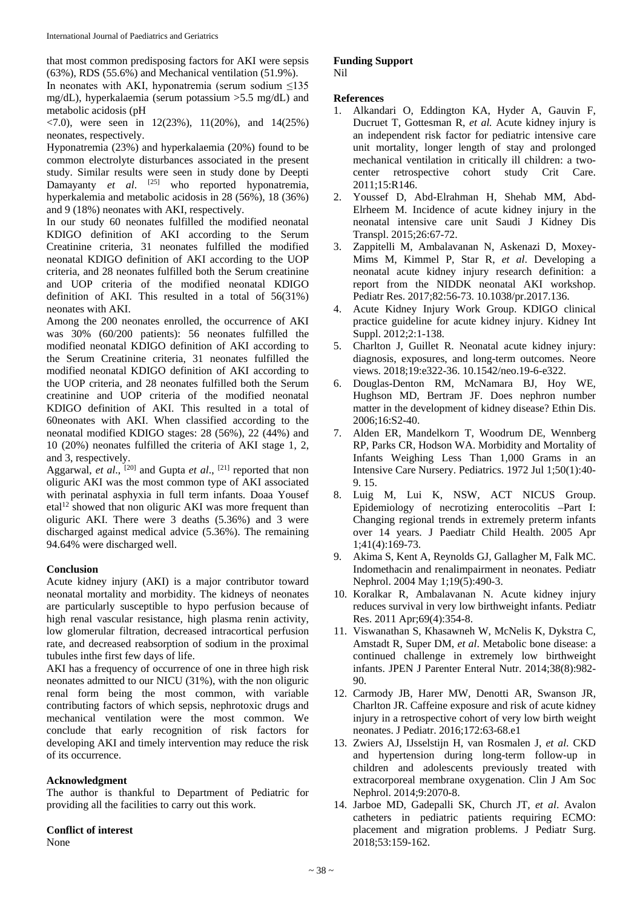that most common predisposing factors for AKI were sepsis (63%), RDS (55.6%) and Mechanical ventilation (51.9%). In neonates with AKI, hyponatremia (serum sodium  $\leq$ 135 mg/dL), hyperkalaemia (serum potassium >5.5 mg/dL) and metabolic acidosis (pH

 $\langle 7.0 \rangle$ , were seen in 12(23%), 11(20%), and 14(25%) neonates, respectively.

Hyponatremia (23%) and hyperkalaemia (20%) found to be common electrolyte disturbances associated in the present study. Similar results were seen in study done by Deepti Damayanty *et al.* <sup>[25]</sup> who reported hyponatremia, hyperkalemia and metabolic acidosis in 28 (56%), 18 (36%) and 9 (18%) neonates with AKI, respectively.

In our study 60 neonates fulfilled the modified neonatal KDIGO definition of AKI according to the Serum Creatinine criteria, 31 neonates fulfilled the modified neonatal KDIGO definition of AKI according to the UOP criteria, and 28 neonates fulfilled both the Serum creatinine and UOP criteria of the modified neonatal KDIGO definition of AKI. This resulted in a total of 56(31%) neonates with AKI.

Among the 200 neonates enrolled, the occurrence of AKI was 30% (60/200 patients): 56 neonates fulfilled the modified neonatal KDIGO definition of AKI according to the Serum Creatinine criteria, 31 neonates fulfilled the modified neonatal KDIGO definition of AKI according to the UOP criteria, and 28 neonates fulfilled both the Serum creatinine and UOP criteria of the modified neonatal KDIGO definition of AKI. This resulted in a total of 60neonates with AKI. When classified according to the neonatal modified KDIGO stages: 28 (56%), 22 (44%) and 10 (20%) neonates fulfilled the criteria of AKI stage 1, 2, and 3, respectively.

Aggarwal, *et al.*, <sup>[20]</sup> and Gupta *et al.*, <sup>[21]</sup> reported that non oliguric AKI was the most common type of AKI associated with perinatal asphyxia in full term infants. Doaa Yousef etal<sup>12</sup> showed that non oliguric AKI was more frequent than oliguric AKI. There were 3 deaths (5.36%) and 3 were discharged against medical advice (5.36%). The remaining 94.64% were discharged well.

## **Conclusion**

Acute kidney injury (AKI) is a major contributor toward neonatal mortality and morbidity. The kidneys of neonates are particularly susceptible to hypo perfusion because of high renal vascular resistance, high plasma renin activity, low glomerular filtration, decreased intracortical perfusion rate, and decreased reabsorption of sodium in the proximal tubules inthe first few days of life.

AKI has a frequency of occurrence of one in three high risk neonates admitted to our NICU (31%), with the non oliguric renal form being the most common, with variable contributing factors of which sepsis, nephrotoxic drugs and mechanical ventilation were the most common. We conclude that early recognition of risk factors for developing AKI and timely intervention may reduce the risk of its occurrence.

## **Acknowledgment**

The author is thankful to Department of Pediatric for providing all the facilities to carry out this work.

## **Conflict of interest**

None

#### **Funding Support** Nil

#### **References**

- 1. Alkandari O, Eddington KA, Hyder A, Gauvin F, Ducruet T, Gottesman R, *et al.* Acute kidney injury is an independent risk factor for pediatric intensive care unit mortality, longer length of stay and prolonged mechanical ventilation in critically ill children: a twocenter retrospective cohort study Crit Care. 2011;15:R146.
- 2. Youssef D, Abd-Elrahman H, Shehab MM, Abd-Elrheem M. Incidence of acute kidney injury in the neonatal intensive care unit Saudi J Kidney Dis Transpl. 2015;26:67-72.
- 3. Zappitelli M, Ambalavanan N, Askenazi D, Moxey-Mims M, Kimmel P, Star R, *et al*. Developing a neonatal acute kidney injury research definition: a report from the NIDDK neonatal AKI workshop. Pediatr Res. 2017;82:56-73. 10.1038/pr.2017.136.
- 4. Acute Kidney Injury Work Group. KDIGO clinical practice guideline for acute kidney injury. Kidney Int Suppl. 2012;2:1-138.
- 5. Charlton J, Guillet R. Neonatal acute kidney injury: diagnosis, exposures, and long-term outcomes. Neore views. 2018;19:e322-36. 10.1542/neo.19-6-e322.
- 6. Douglas-Denton RM, McNamara BJ, Hoy WE, Hughson MD, Bertram JF. Does nephron number matter in the development of kidney disease? Ethin Dis. 2006;16:S2-40.
- 7. Alden ER, Mandelkorn T, Woodrum DE, Wennberg RP, Parks CR, Hodson WA. Morbidity and Mortality of Infants Weighing Less Than 1,000 Grams in an Intensive Care Nursery. Pediatrics. 1972 Jul 1;50(1):40- 9. 15.
- 8. Luig M, Lui K, NSW, ACT NICUS Group. Epidemiology of necrotizing enterocolitis –Part I: Changing regional trends in extremely preterm infants over 14 years. J Paediatr Child Health. 2005 Apr 1;41(4):169-73.
- 9. Akima S, Kent A, Reynolds GJ, Gallagher M, Falk MC. Indomethacin and renalimpairment in neonates. Pediatr Nephrol. 2004 May 1;19(5):490-3.
- 10. Koralkar R, Ambalavanan N. Acute kidney injury reduces survival in very low birthweight infants. Pediatr Res. 2011 Apr;69(4):354-8.
- 11. Viswanathan S, Khasawneh W, McNelis K, Dykstra C, Amstadt R, Super DM, *et al*. Metabolic bone disease: a continued challenge in extremely low birthweight infants. JPEN J Parenter Enteral Nutr. 2014;38(8):982- 90.
- 12. Carmody JB, Harer MW, Denotti AR, Swanson JR, Charlton JR. Caffeine exposure and risk of acute kidney injury in a retrospective cohort of very low birth weight neonates. J Pediatr. 2016;172:63-68.e1
- 13. Zwiers AJ, IJsselstijn H, van Rosmalen J, *et al*. CKD and hypertension during long-term follow-up in children and adolescents previously treated with extracorporeal membrane oxygenation. Clin J Am Soc Nephrol. 2014;9:2070-8.
- 14. Jarboe MD, Gadepalli SK, Church JT, *et al*. Avalon catheters in pediatric patients requiring ECMO: placement and migration problems. J Pediatr Surg. 2018;53:159-162.